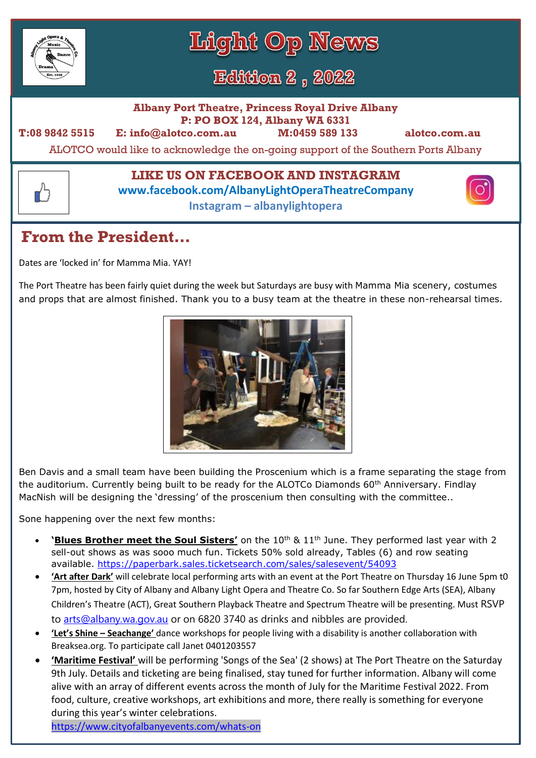

┎┸╕

Light Op News

**Edition 2, 2022** 

**Albany Port Theatre, Princess Royal Drive Albany P: PO BOX 124, Albany WA 6331**

**T:08 9842 5515 E: info@alotco.com.au M:0459 589 133 alotco.com.au** 

ALOTCO would like to acknowledge the on-going support of the Southern Ports Albany

## **LIKE US ON FACEBOOK AND INSTAGRAM**

**www.facebook.com/AlbanyLightOperaTheatreCompany**

**Instagram – albanylightopera**

# **From the President…**

Dates are 'locked in' for Mamma Mia. YAY!

The Port Theatre has been fairly quiet during the week but Saturdays are busy with Mamma Mia scenery, costumes and props that are almost finished. Thank you to a busy team at the theatre in these non-rehearsal times.



Ben Davis and a small team have been building the Proscenium which is a frame separating the stage from the auditorium. Currently being built to be ready for the ALOTCo Diamonds 60<sup>th</sup> Anniversary. Findlay MacNish will be designing the 'dressing' of the proscenium then consulting with the committee..

Sone happening over the next few months:

- **'Blues Brother meet the Soul Sisters'** on the 10<sup>th</sup> & 11<sup>th</sup> June. They performed last year with 2 sell-out shows as was sooo much fun. Tickets 50% sold already, Tables (6) and row seating available.<https://paperbark.sales.ticketsearch.com/sales/salesevent/54093>
- **'Art after Dark'** will celebrate local performing arts with an event at the Port Theatre on Thursday 16 June 5pm t0 7pm, hosted by City of Albany and Albany Light Opera and Theatre Co. So far Southern Edge Arts (SEA), Albany Children's Theatre (ACT), Great Southern Playback Theatre and Spectrum Theatre will be presenting. Must RSVP to [arts@albany.wa.gov.au](file:///C:/Users/Alotc/Documents/Newsletter%20-%20Jill/arts@albany.wa.gov.au) or on 6820 3740 as drinks and nibbles are provided.
- **'Let's Shine – Seachange'** dance workshops for people living with a disability is another collaboration with Breaksea.org. To participate call Janet 0401203557
- **'Maritime Festival'** will be performing 'Songs of the Sea' (2 shows) at The Port Theatre on the Saturday 9th July. Details and ticketing are being finalised, stay tuned for further information. Albany will come alive with an array of different events across the month of July for the Maritime Festival 2022. From food, culture, creative workshops, art exhibitions and more, there really is something for everyone during this year's winter celebrations.

[https://www.cityofalbanyevents.com/whats-on](https://www.cityofalbanyevents.com/whats-on?fbclid=IwAR3LqyzyQtFJNaqEOg1puwkADAA9JFELiTySL5YaNdCADquoXbwGshyQZdQ)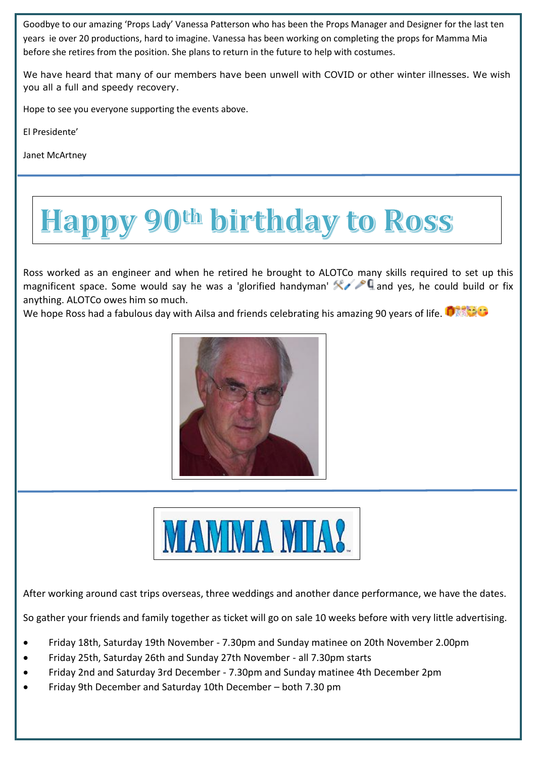Goodbye to our amazing 'Props Lady' Vanessa Patterson who has been the Props Manager and Designer for the last ten years ie over 20 productions, hard to imagine. Vanessa has been working on completing the props for Mamma Mia before she retires from the position. She plans to return in the future to help with costumes.

We have heard that many of our members have been unwell with COVID or other winter illnesses. We wish you all a full and speedy recovery.

Hope to see you everyone supporting the events above.

El Presidente'

Janet McArtney

# appy 90th birthday to Ross

Ross worked as an engineer and when he retired he brought to ALOTCo many skills required to set up this magnificent space. Some would say he was a 'glorified handyman' **AMP** and yes, he could build or fix anything. ALOTCo owes him so much.

We hope Ross had a fabulous day with Ailsa and friends celebrating his amazing 90 years of life.





After working around cast trips overseas, three weddings and another dance performance, we have the dates.

So gather your friends and family together as ticket will go on sale 10 weeks before with very little advertising.

- Friday 18th, Saturday 19th November 7.30pm and Sunday matinee on 20th November 2.00pm
- Friday 25th, Saturday 26th and Sunday 27th November all 7.30pm starts
- Friday 2nd and Saturday 3rd December 7.30pm and Sunday matinee 4th December 2pm
- Friday 9th December and Saturday 10th December both 7.30 pm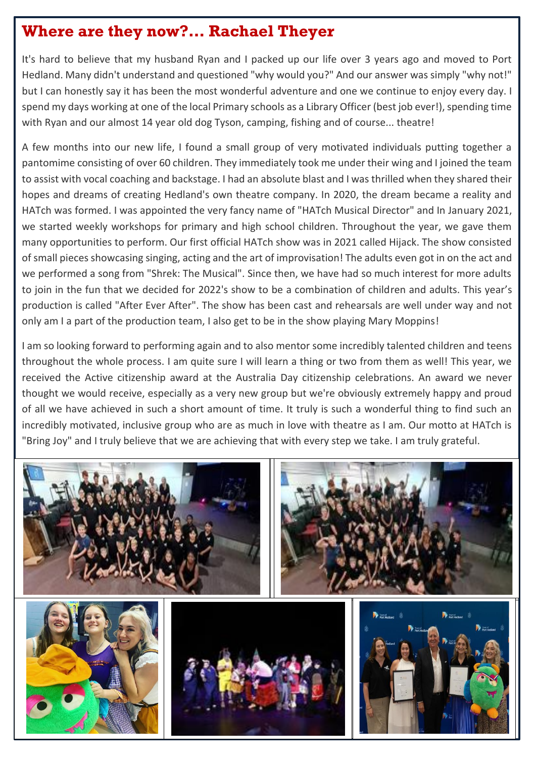## **Where are they now?… Rachael Theyer**

It's hard to believe that my husband Ryan and I packed up our life over 3 years ago and moved to Port Hedland. Many didn't understand and questioned "why would you?" And our answer was simply "why not!" but I can honestly say it has been the most wonderful adventure and one we continue to enjoy every day. I spend my days working at one of the local Primary schools as a Library Officer (best job ever!), spending time with Ryan and our almost 14 year old dog Tyson, camping, fishing and of course... theatre!

A few months into our new life, I found a small group of very motivated individuals putting together a pantomime consisting of over 60 children. They immediately took me under their wing and I joined the team to assist with vocal coaching and backstage. I had an absolute blast and I was thrilled when they shared their hopes and dreams of creating Hedland's own theatre company. In 2020, the dream became a reality and HATch was formed. I was appointed the very fancy name of "HATch Musical Director" and In January 2021, we started weekly workshops for primary and high school children. Throughout the year, we gave them many opportunities to perform. Our first official HATch show was in 2021 called Hijack. The show consisted of small pieces showcasing singing, acting and the art of improvisation! The adults even got in on the act and we performed a song from "Shrek: The Musical". Since then, we have had so much interest for more adults to join in the fun that we decided for 2022's show to be a combination of children and adults. This year's production is called "After Ever After". The show has been cast and rehearsals are well under way and not only am I a part of the production team, I also get to be in the show playing Mary Moppins!

I am so looking forward to performing again and to also mentor some incredibly talented children and teens throughout the whole process. I am quite sure I will learn a thing or two from them as well! This year, we received the Active citizenship award at the Australia Day citizenship celebrations. An award we never thought we would receive, especially as a very new group but we're obviously extremely happy and proud of all we have achieved in such a short amount of time. It truly is such a wonderful thing to find such an incredibly motivated, inclusive group who are as much in love with theatre as I am. Our motto at HATch is "Bring Joy" and I truly believe that we are achieving that with every step we take. I am truly grateful.

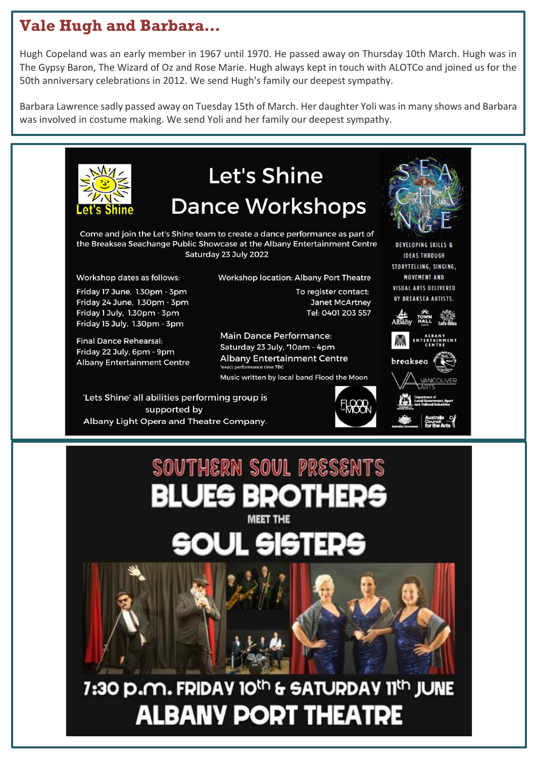# **Vale Hugh and Barbara…**

Hugh Copeland was an early member in 1967 until 1970. He passed away on Thursday 10th March. Hugh was in The Gypsy Baron, The Wizard of Oz and Rose Marie. Hugh always kept in touch with ALOTCo and joined us for the 50th anniversary celebrations in 2012. We send Hugh's family our deepest sympathy.

Barbara Lawrence sadly passed away on Tuesday 15th of March. Her daughter Yoli was in many shows and Barbara was involved in costume making. We send Yoli and her family our deepest sympathy.

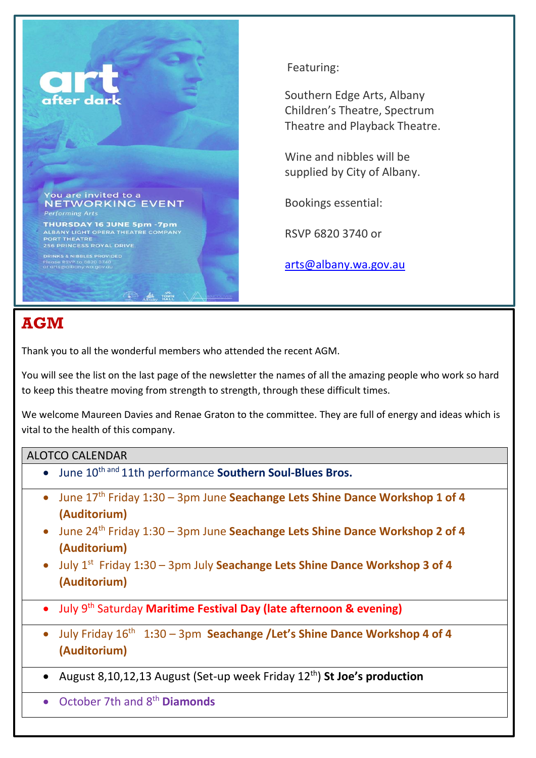

### Featuring:

Southern Edge Arts, Albany Children's Theatre, Spectrum Theatre and Playback Theatre.

Wine and nibbles will be supplied by City of Albany.

Bookings essential:

RSVP 6820 3740 or

[arts@albany.wa.gov.au](mailto:arts@albany.wa.gov.au)

## **AGM**

Thank you to all the wonderful members who attended the recent AGM.

You will see the list on the last page of the newsletter the names of all the amazing people who work so hard to keep this theatre moving from strength to strength, through these difficult times.

We welcome Maureen Davies and Renae Graton to the committee. They are full of energy and ideas which is vital to the health of this company.

#### ALOTCO CALENDAR

- June 10th and 11th performance **Southern Soul-Blues Bros.**
- June 17th Friday 1**:**30 3pm June **Seachange Lets Shine Dance Workshop 1 of 4 (Auditorium)**
- June 24th Friday 1:30 3pm June **Seachange Lets Shine Dance Workshop 2 of 4 (Auditorium)**
- July 1<sup>st</sup> Friday 1:30 3pm July Seachange Lets Shine Dance Workshop 3 of 4 **(Auditorium)**
- **•** July 9<sup>th</sup> Saturday Maritime Festival Day (late afternoon & evening)
- July Friday 16<sup>th</sup> 1:30 3pm Seachange /Let's Shine Dance Workshop 4 of 4 **(Auditorium)**
- August 8,10,12,13 August (Set-up week Friday 12th) **St Joe's production**
- October 7th and 8th **Diamonds**